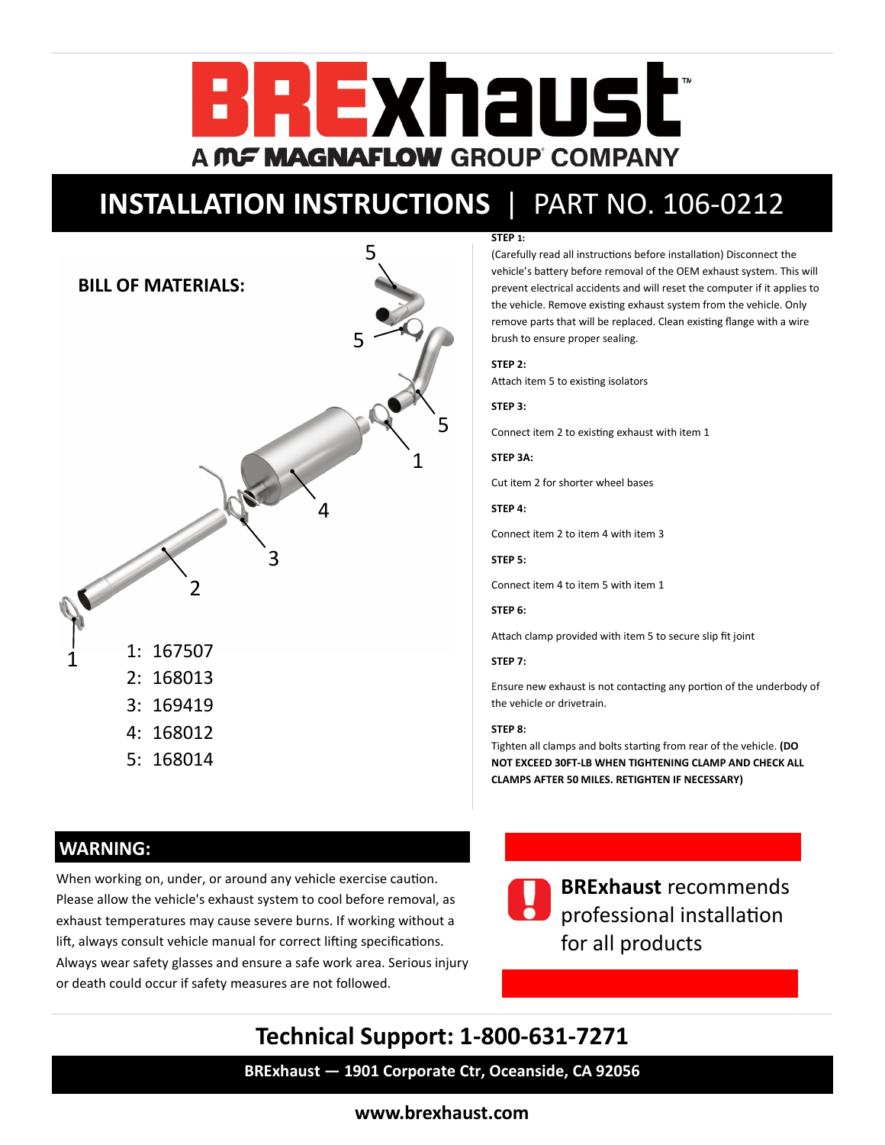

# **INSTALLATION INSTRUCTIONS** | PART NO. 106-0212



#### **STEP 1:**

(Carefully read all instructions before installation) Disconnect the vehicle's battery before removal of the OEM exhaust system. This will prevent electrical accidents and will reset the computer if it applies to the vehicle. Remove existing exhaust system from the vehicle. Only remove parts that will be replaced. Clean existing flange with a wire brush to ensure proper sealing.

#### **STEP 2:**

Attach item 5 to existing isolators

**STEP 3:**

Connect item 2 to existing exhaust with item 1

**STEP 3A:**

Cut item 2 for shorter wheel bases

**STEP 4:**

Connect item 2 to item 4 with item 3

**STEP 5:**

Connect item 4 to item 5 with item 1

### **STEP 6:**

Attach clamp provided with item 5 to secure slip fit joint

#### **STEP 7:**

Ensure new exhaust is not contacting any portion of the underbody of the vehicle or drivetrain.

#### **STEP 8:**

Tighten all clamps and bolts starting from rear of the vehicle. **(DO NOT EXCEED 30FT-LB WHEN TIGHTENING CLAMP AND CHECK ALL CLAMPS AFTER 50 MILES. RETIGHTEN IF NECESSARY)**

## **WARNING:**

When working on, under, or around any vehicle exercise caution. Please allow the vehicle's exhaust system to cool before removal, as exhaust temperatures may cause severe burns. If working without a lift, always consult vehicle manual for correct lifting specifications. Always wear safety glasses and ensure a safe work area. Serious injury or death could occur if safety measures are not followed.



**BRExhaust** recommends professional installation for all products

# **Technical Support: 1-800-631-7271**

**BRExhaust — 1901 Corporate Ctr, Oceanside, CA 92056**

**[www.brexhaust.com](http://www.brexhaust.com)**